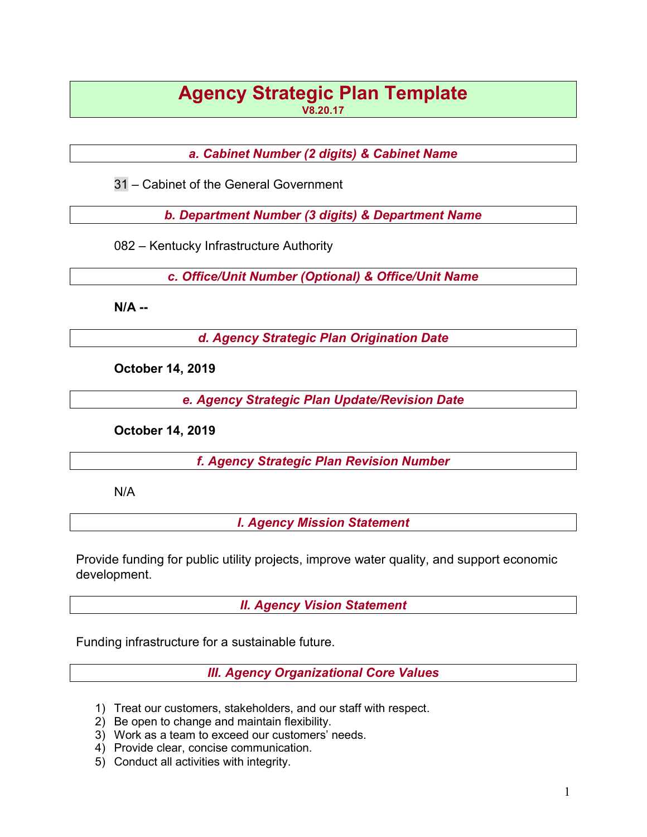# Agency Strategic Plan Template V8.20.17

a. Cabinet Number (2 digits) & Cabinet Name

31 – Cabinet of the General Government

b. Department Number (3 digits) & Department Name

082 – Kentucky Infrastructure Authority

c. Office/Unit Number (Optional) & Office/Unit Name

N/A --

d. Agency Strategic Plan Origination Date

October 14, 2019

e. Agency Strategic Plan Update/Revision Date

October 14, 2019

f. Agency Strategic Plan Revision Number

N/A

I. Agency Mission Statement

Provide funding for public utility projects, improve water quality, and support economic development.

II. Agency Vision Statement

Funding infrastructure for a sustainable future.

III. Agency Organizational Core Values

- 1) Treat our customers, stakeholders, and our staff with respect.
- 2) Be open to change and maintain flexibility.
- 3) Work as a team to exceed our customers' needs.
- 4) Provide clear, concise communication.
- 5) Conduct all activities with integrity.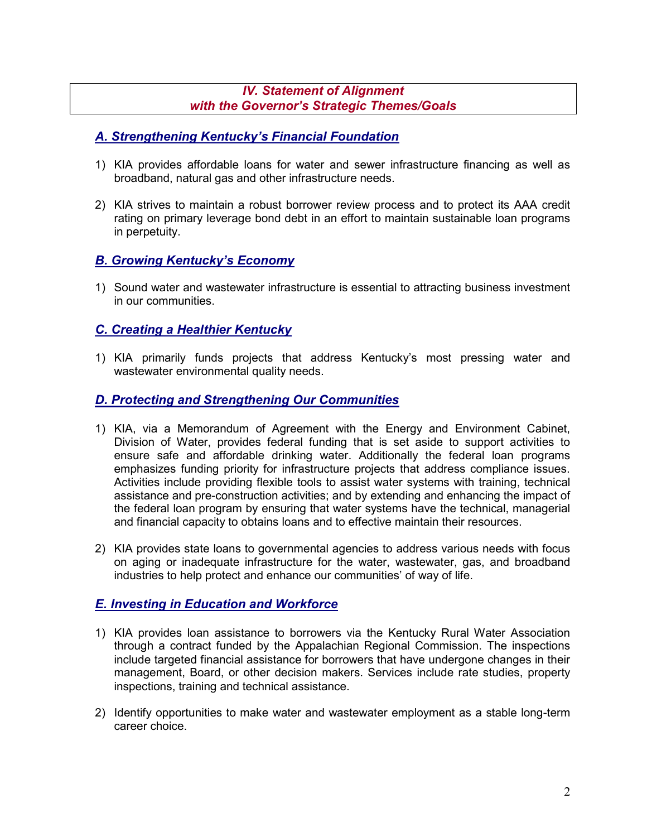#### IV. Statement of Alignment with the Governor's Strategic Themes/Goals

## A. Strengthening Kentucky's Financial Foundation

- 1) KIA provides affordable loans for water and sewer infrastructure financing as well as broadband, natural gas and other infrastructure needs.
- 2) KIA strives to maintain a robust borrower review process and to protect its AAA credit rating on primary leverage bond debt in an effort to maintain sustainable loan programs in perpetuity.

# B. Growing Kentucky's Economy

1) Sound water and wastewater infrastructure is essential to attracting business investment in our communities.

## C. Creating a Healthier Kentucky

1) KIA primarily funds projects that address Kentucky's most pressing water and wastewater environmental quality needs.

## D. Protecting and Strengthening Our Communities

- 1) KIA, via a Memorandum of Agreement with the Energy and Environment Cabinet, Division of Water, provides federal funding that is set aside to support activities to ensure safe and affordable drinking water. Additionally the federal loan programs emphasizes funding priority for infrastructure projects that address compliance issues. Activities include providing flexible tools to assist water systems with training, technical assistance and pre-construction activities; and by extending and enhancing the impact of the federal loan program by ensuring that water systems have the technical, managerial and financial capacity to obtains loans and to effective maintain their resources.
- 2) KIA provides state loans to governmental agencies to address various needs with focus on aging or inadequate infrastructure for the water, wastewater, gas, and broadband industries to help protect and enhance our communities' of way of life.

## E. Investing in Education and Workforce

- 1) KIA provides loan assistance to borrowers via the Kentucky Rural Water Association through a contract funded by the Appalachian Regional Commission. The inspections include targeted financial assistance for borrowers that have undergone changes in their management, Board, or other decision makers. Services include rate studies, property inspections, training and technical assistance.
- 2) Identify opportunities to make water and wastewater employment as a stable long-term career choice.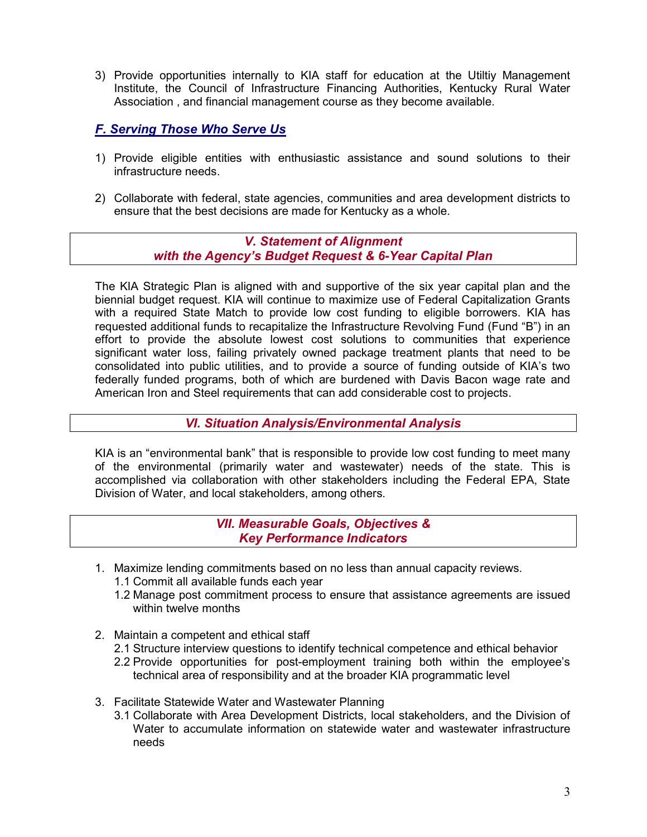3) Provide opportunities internally to KIA staff for education at the Utiltiy Management Institute, the Council of Infrastructure Financing Authorities, Kentucky Rural Water Association , and financial management course as they become available.

## F. Serving Those Who Serve Us

- 1) Provide eligible entities with enthusiastic assistance and sound solutions to their infrastructure needs.
- 2) Collaborate with federal, state agencies, communities and area development districts to ensure that the best decisions are made for Kentucky as a whole.

#### V. Statement of Alignment with the Agency's Budget Request & 6-Year Capital Plan

The KIA Strategic Plan is aligned with and supportive of the six year capital plan and the biennial budget request. KIA will continue to maximize use of Federal Capitalization Grants with a required State Match to provide low cost funding to eligible borrowers. KIA has requested additional funds to recapitalize the Infrastructure Revolving Fund (Fund "B") in an effort to provide the absolute lowest cost solutions to communities that experience significant water loss, failing privately owned package treatment plants that need to be consolidated into public utilities, and to provide a source of funding outside of KIA's two federally funded programs, both of which are burdened with Davis Bacon wage rate and American Iron and Steel requirements that can add considerable cost to projects.

#### VI. Situation Analysis/Environmental Analysis

KIA is an "environmental bank" that is responsible to provide low cost funding to meet many of the environmental (primarily water and wastewater) needs of the state. This is accomplished via collaboration with other stakeholders including the Federal EPA, State Division of Water, and local stakeholders, among others.

> VII. Measurable Goals, Objectives & Key Performance Indicators

- 1. Maximize lending commitments based on no less than annual capacity reviews.
	- 1.1 Commit all available funds each year
	- 1.2 Manage post commitment process to ensure that assistance agreements are issued within twelve months
- 2. Maintain a competent and ethical staff
	- 2.1 Structure interview questions to identify technical competence and ethical behavior
	- 2.2 Provide opportunities for post-employment training both within the employee's technical area of responsibility and at the broader KIA programmatic level
- 3. Facilitate Statewide Water and Wastewater Planning
	- 3.1 Collaborate with Area Development Districts, local stakeholders, and the Division of Water to accumulate information on statewide water and wastewater infrastructure needs